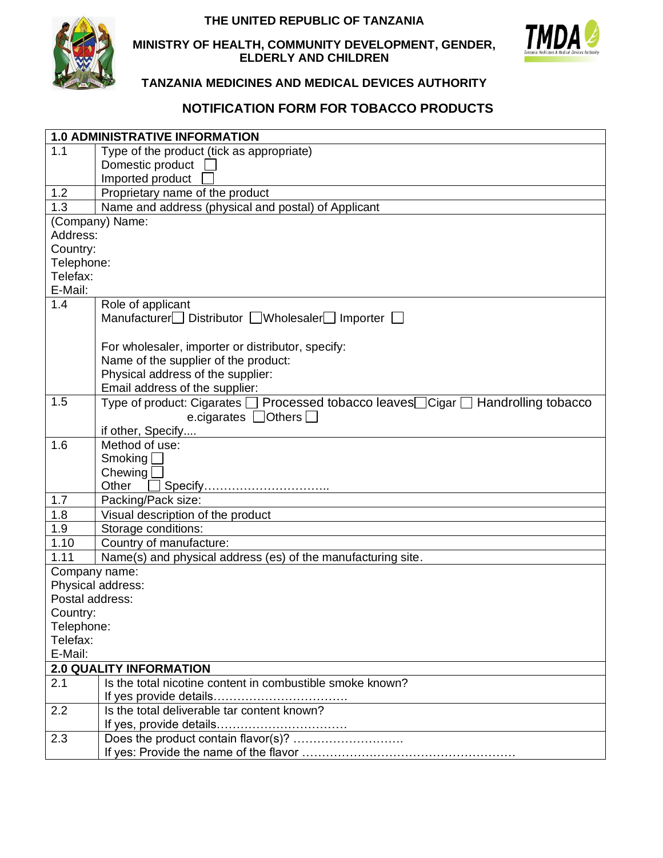### **THE UNITED REPUBLIC OF TANZANIA**



#### **MINISTRY OF HEALTH, COMMUNITY DEVELOPMENT, GENDER, ELDERLY AND CHILDREN**



## **TANZANIA MEDICINES AND MEDICAL DEVICES AUTHORITY**

# **NOTIFICATION FORM FOR TOBACCO PRODUCTS**

| <b>1.0 ADMINISTRATIVE INFORMATION</b>                                                       |                                                                                   |  |
|---------------------------------------------------------------------------------------------|-----------------------------------------------------------------------------------|--|
| 1.1                                                                                         | Type of the product (tick as appropriate)                                         |  |
|                                                                                             | Domestic product                                                                  |  |
|                                                                                             | Imported product                                                                  |  |
| 1.2                                                                                         | Proprietary name of the product                                                   |  |
| 1.3                                                                                         | Name and address (physical and postal) of Applicant                               |  |
| (Company) Name:                                                                             |                                                                                   |  |
| Address:                                                                                    |                                                                                   |  |
| Country:                                                                                    |                                                                                   |  |
| Telephone:                                                                                  |                                                                                   |  |
| Telefax:                                                                                    |                                                                                   |  |
| E-Mail:                                                                                     |                                                                                   |  |
| 1.4                                                                                         | Role of applicant                                                                 |  |
|                                                                                             | Manufacturer Distributor Wholesaler Importer                                      |  |
|                                                                                             |                                                                                   |  |
|                                                                                             | For wholesaler, importer or distributor, specify:                                 |  |
|                                                                                             | Name of the supplier of the product:                                              |  |
|                                                                                             | Physical address of the supplier:                                                 |  |
|                                                                                             | Email address of the supplier:                                                    |  |
| 1.5                                                                                         | Type of product: Cigarates □ Processed tobacco leaves□Cigar □ Handrolling tobacco |  |
|                                                                                             | e.cigarates $\Box$ Others $\Box$                                                  |  |
|                                                                                             | if other, Specify                                                                 |  |
| 1.6                                                                                         | Method of use:                                                                    |  |
|                                                                                             | Smoking $\square$                                                                 |  |
|                                                                                             | Chewing                                                                           |  |
|                                                                                             | Specify<br>Other                                                                  |  |
| 1.7                                                                                         | Packing/Pack size:                                                                |  |
| 1.8                                                                                         | Visual description of the product                                                 |  |
| 1.9                                                                                         | Storage conditions:                                                               |  |
| 1.10                                                                                        | Country of manufacture:                                                           |  |
| 1.11                                                                                        | Name(s) and physical address (es) of the manufacturing site.                      |  |
| Company name:                                                                               |                                                                                   |  |
| Physical address:                                                                           |                                                                                   |  |
| Postal address:                                                                             |                                                                                   |  |
| Country:                                                                                    |                                                                                   |  |
| Telephone:                                                                                  |                                                                                   |  |
| Telefax:<br>E-Mail:                                                                         |                                                                                   |  |
|                                                                                             |                                                                                   |  |
| <b>2.0 QUALITY INFORMATION</b><br>Is the total nicotine content in combustible smoke known? |                                                                                   |  |
| 2.1                                                                                         |                                                                                   |  |
| 2.2                                                                                         | Is the total deliverable tar content known?                                       |  |
|                                                                                             |                                                                                   |  |
|                                                                                             |                                                                                   |  |
| 2.3                                                                                         |                                                                                   |  |
|                                                                                             |                                                                                   |  |